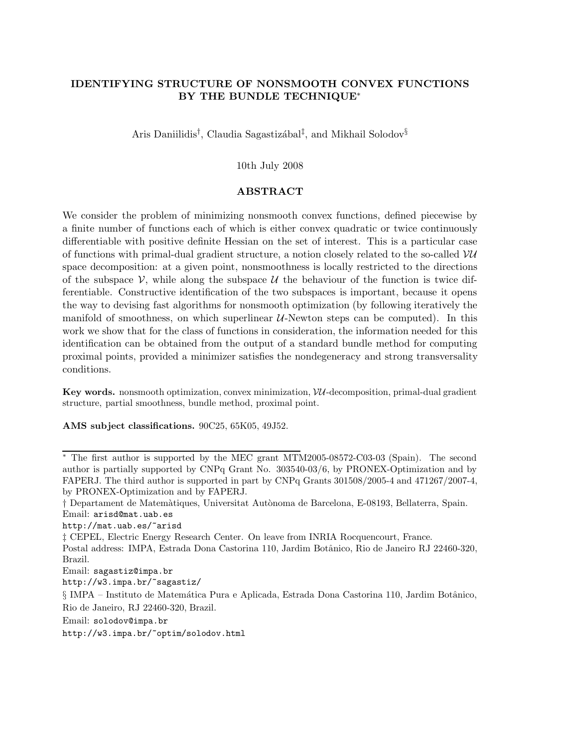# IDENTIFYING STRUCTURE OF NONSMOOTH CONVEX FUNCTIONS BY THE BUNDLE TECHNIQUE<sup>∗</sup>

Aris Daniilidis<sup>†</sup>, Claudia Sagastizábal<sup>‡</sup>, and Mikhail Solodov<sup>§</sup>

## 10th July 2008

## ABSTRACT

We consider the problem of minimizing nonsmooth convex functions, defined piecewise by a finite number of functions each of which is either convex quadratic or twice continuously differentiable with positive definite Hessian on the set of interest. This is a particular case of functions with primal-dual gradient structure, a notion closely related to the so-called  $VU$ space decomposition: at a given point, nonsmoothness is locally restricted to the directions of the subspace  $\mathcal V$ , while along the subspace  $\mathcal U$  the behaviour of the function is twice differentiable. Constructive identification of the two subspaces is important, because it opens the way to devising fast algorithms for nonsmooth optimization (by following iteratively the manifold of smoothness, on which superlinear  $U$ -Newton steps can be computed). In this work we show that for the class of functions in consideration, the information needed for this identification can be obtained from the output of a standard bundle method for computing proximal points, provided a minimizer satisfies the nondegeneracy and strong transversality conditions.

Key words. nonsmooth optimization, convex minimization,  $VU$ -decomposition, primal-dual gradient structure, partial smoothness, bundle method, proximal point.

AMS subject classifications. 90C25, 65K05, 49J52.

http://mat.uab.es/~arisd

‡ CEPEL, Electric Energy Research Center. On leave from INRIA Rocquencourt, France.

- Postal address: IMPA, Estrada Dona Castorina 110, Jardim Botânico, Rio de Janeiro RJ 22460-320, Brazil.
- Email: sagastiz@impa.br

http://w3.impa.br/~sagastiz/

Email: solodov@impa.br

http://w3.impa.br/~optim/solodov.html

<sup>∗</sup> The first author is supported by the MEC grant MTM2005-08572-C03-03 (Spain). The second author is partially supported by CNPq Grant No. 303540-03/6, by PRONEX-Optimization and by FAPERJ. The third author is supported in part by CNPq Grants 301508/2005-4 and 471267/2007-4, by PRONEX-Optimization and by FAPERJ.

<sup>†</sup> Departament de Matem`atiques, Universitat Aut`onoma de Barcelona, E-08193, Bellaterra, Spain. Email: arisd@mat.uab.es

<sup>§</sup> IMPA – Instituto de Matem´atica Pura e Aplicada, Estrada Dona Castorina 110, Jardim Botˆanico, Rio de Janeiro, RJ 22460-320, Brazil.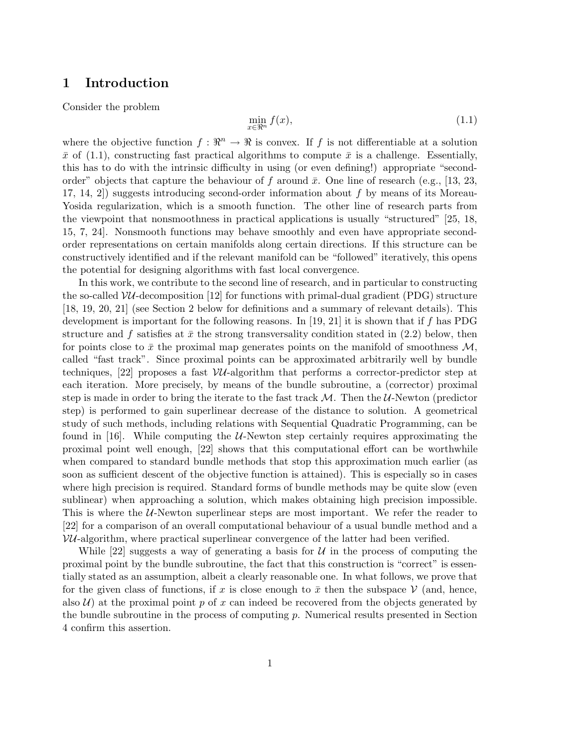# 1 Introduction

Consider the problem

$$
\min_{x \in \mathbb{R}^n} f(x),\tag{1.1}
$$

where the objective function  $f: \mathbb{R}^n \to \mathbb{R}$  is convex. If f is not differentiable at a solution  $\bar{x}$  of (1.1), constructing fast practical algorithms to compute  $\bar{x}$  is a challenge. Essentially, this has to do with the intrinsic difficulty in using (or even defining!) appropriate "secondorder" objects that capture the behaviour of f around  $\bar{x}$ . One line of research (e.g., [13, 23, 17, 14, 2]) suggests introducing second-order information about f by means of its Moreau-Yosida regularization, which is a smooth function. The other line of research parts from the viewpoint that nonsmoothness in practical applications is usually "structured" [25, 18, 15, 7, 24]. Nonsmooth functions may behave smoothly and even have appropriate secondorder representations on certain manifolds along certain directions. If this structure can be constructively identified and if the relevant manifold can be "followed" iteratively, this opens the potential for designing algorithms with fast local convergence.

In this work, we contribute to the second line of research, and in particular to constructing the so-called  $VU$ -decomposition [12] for functions with primal-dual gradient (PDG) structure [18, 19, 20, 21] (see Section 2 below for definitions and a summary of relevant details). This development is important for the following reasons. In [19, 21] it is shown that if f has PDG structure and f satisfies at  $\bar{x}$  the strong transversality condition stated in (2.2) below, then for points close to  $\bar{x}$  the proximal map generates points on the manifold of smoothness  $\mathcal{M}$ , called "fast track". Since proximal points can be approximated arbitrarily well by bundle techniques,  $[22]$  proposes a fast VU-algorithm that performs a corrector-predictor step at each iteration. More precisely, by means of the bundle subroutine, a (corrector) proximal step is made in order to bring the iterate to the fast track  $M$ . Then the  $U$ -Newton (predictor step) is performed to gain superlinear decrease of the distance to solution. A geometrical study of such methods, including relations with Sequential Quadratic Programming, can be found in [16]. While computing the  $U$ -Newton step certainly requires approximating the proximal point well enough, [22] shows that this computational effort can be worthwhile when compared to standard bundle methods that stop this approximation much earlier (as soon as sufficient descent of the objective function is attained). This is especially so in cases where high precision is required. Standard forms of bundle methods may be quite slow (even sublinear) when approaching a solution, which makes obtaining high precision impossible. This is where the  $U$ -Newton superlinear steps are most important. We refer the reader to [22] for a comparison of an overall computational behaviour of a usual bundle method and a  $VU$ -algorithm, where practical superlinear convergence of the latter had been verified.

While [22] suggests a way of generating a basis for  $U$  in the process of computing the proximal point by the bundle subroutine, the fact that this construction is "correct" is essentially stated as an assumption, albeit a clearly reasonable one. In what follows, we prove that for the given class of functions, if x is close enough to  $\bar{x}$  then the subspace V (and, hence, also  $\mathcal{U}$ ) at the proximal point p of x can indeed be recovered from the objects generated by the bundle subroutine in the process of computing  $p$ . Numerical results presented in Section 4 confirm this assertion.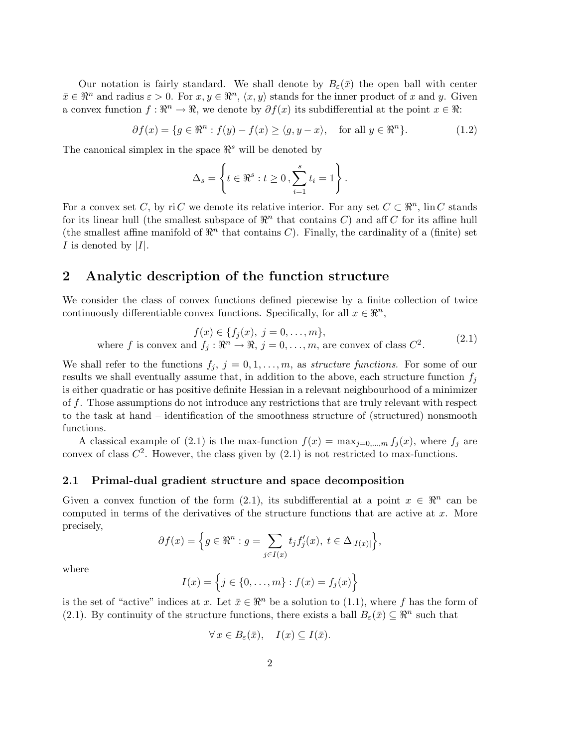Our notation is fairly standard. We shall denote by  $B_{\varepsilon}(\bar{x})$  the open ball with center  $\bar{x} \in \mathbb{R}^n$  and radius  $\varepsilon > 0$ . For  $x, y \in \mathbb{R}^n$ ,  $\langle x, y \rangle$  stands for the inner product of x and y. Given a convex function  $f: \mathbb{R}^n \to \mathbb{R}$ , we denote by  $\partial f(x)$  its subdifferential at the point  $x \in \mathbb{R}$ :

> $\partial f(x) = \{g \in \mathbb{R}^n : f(y) - f(x) \ge \langle g, y - x \rangle, \text{ for all } y \in \mathbb{R}^n\}$  $(1.2)$

The canonical simplex in the space  $\mathbb{R}^s$  will be denoted by

$$
\Delta_s = \left\{ t \in \Re^s : t \ge 0, \sum_{i=1}^s t_i = 1 \right\}.
$$

For a convex set C, by ri C we denote its relative interior. For any set  $C \subset \mathbb{R}^n$ ,  $\text{lin } C$  stands for its linear hull (the smallest subspace of  $\mathbb{R}^n$  that contains C) and aff C for its affine hull (the smallest affine manifold of  $\mathbb{R}^n$  that contains C). Finally, the cardinality of a (finite) set I is denoted by  $|I|$ .

# 2 Analytic description of the function structure

We consider the class of convex functions defined piecewise by a finite collection of twice continuously differentiable convex functions. Specifically, for all  $x \in \mathbb{R}^n$ ,

$$
f(x) \in \{f_j(x), j = 0, ..., m\},\
$$
  
where f is convex and  $f_j : \mathbb{R}^n \to \mathbb{R}, j = 0, ..., m$ , are convex of class  $C^2$ . (2.1)

We shall refer to the functions  $f_j$ ,  $j = 0, 1, \ldots, m$ , as *structure functions*. For some of our results we shall eventually assume that, in addition to the above, each structure function  $f_i$ is either quadratic or has positive definite Hessian in a relevant neighbourhood of a minimizer of f. Those assumptions do not introduce any restrictions that are truly relevant with respect to the task at hand – identification of the smoothness structure of (structured) nonsmooth functions.

A classical example of (2.1) is the max-function  $f(x) = \max_{j=0,\dots,m} f_j(x)$ , where  $f_j$  are convex of class  $C^2$ . However, the class given by  $(2.1)$  is not restricted to max-functions.

### 2.1 Primal-dual gradient structure and space decomposition

Given a convex function of the form (2.1), its subdifferential at a point  $x \in \mathbb{R}^n$  can be computed in terms of the derivatives of the structure functions that are active at  $x$ . More precisely,

$$
\partial f(x) = \Big\{ g \in \mathbb{R}^n : g = \sum_{j \in I(x)} t_j f'_j(x), \ t \in \Delta_{|I(x)|} \Big\},\
$$

where

$$
I(x) = \{j \in \{0, ..., m\} : f(x) = f_j(x)\}
$$

is the set of "active" indices at x. Let  $\bar{x} \in \mathbb{R}^n$  be a solution to (1.1), where f has the form of (2.1). By continuity of the structure functions, there exists a ball  $B_{\varepsilon}(\bar{x}) \subseteq \mathbb{R}^n$  such that

$$
\forall x \in B_{\varepsilon}(\bar{x}), \quad I(x) \subseteq I(\bar{x}).
$$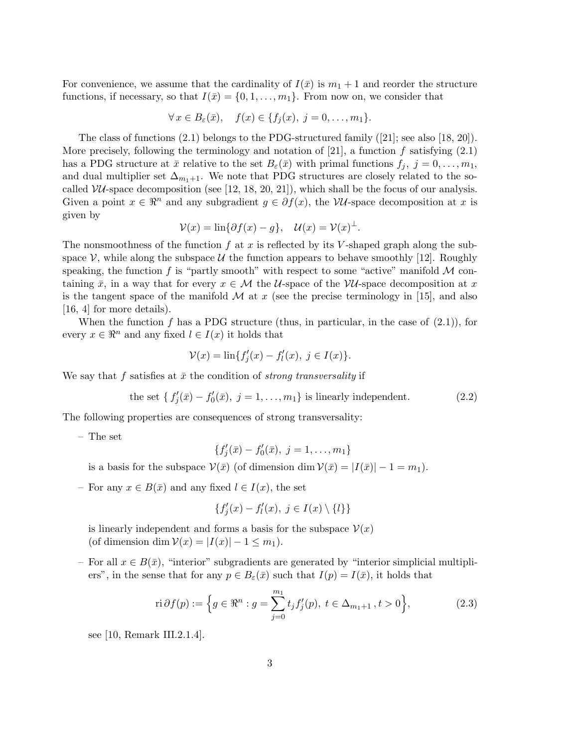For convenience, we assume that the cardinality of  $I(\bar{x})$  is  $m_1 + 1$  and reorder the structure functions, if necessary, so that  $I(\bar{x}) = \{0, 1, \ldots, m_1\}$ . From now on, we consider that

$$
\forall x \in B_{\varepsilon}(\bar{x}), \quad f(x) \in \{f_j(x),\ j=0,\ldots,m_1\}.
$$

The class of functions (2.1) belongs to the PDG-structured family ([21]; see also [18, 20]). More precisely, following the terminology and notation of [21], a function f satisfying  $(2.1)$ has a PDG structure at  $\bar{x}$  relative to the set  $B_{\varepsilon}(\bar{x})$  with primal functions  $f_j, j = 0, \ldots, m_1$ , and dual multiplier set  $\Delta_{m_1+1}$ . We note that PDG structures are closely related to the socalled  $VU$ -space decomposition (see [12, 18, 20, 21]), which shall be the focus of our analysis. Given a point  $x \in \mathbb{R}^n$  and any subgradient  $g \in \partial f(x)$ , the VU-space decomposition at x is given by

$$
\mathcal{V}(x) = \ln\{\partial f(x) - g\}, \quad \mathcal{U}(x) = \mathcal{V}(x)^{\perp}.
$$

The nonsmoothness of the function f at x is reflected by its V-shaped graph along the subspace  $\mathcal V$ , while along the subspace  $\mathcal U$  the function appears to behave smoothly [12]. Roughly speaking, the function f is "partly smooth" with respect to some "active" manifold  $\mathcal M$  containing  $\bar{x}$ , in a way that for every  $x \in M$  the U-space of the VU-space decomposition at x is the tangent space of the manifold  $\mathcal M$  at x (see the precise terminology in [15], and also [16, 4] for more details).

When the function  $f$  has a PDG structure (thus, in particular, in the case of  $(2.1)$ ), for every  $x \in \mathbb{R}^n$  and any fixed  $l \in I(x)$  it holds that

$$
\mathcal{V}(x) = \ln\{f'_j(x) - f'_l(x), \ j \in I(x)\}.
$$

We say that f satisfies at  $\bar{x}$  the condition of strong transversality if

the set 
$$
\{f'_j(\bar{x}) - f'_0(\bar{x}), j = 1, ..., m_1\}
$$
 is linearly independent. (2.2)

The following properties are consequences of strong transversality:

– The set

$$
\{f'_j(\bar{x}) - f'_0(\bar{x}), \ j = 1, \ldots, m_1\}
$$

is a basis for the subspace  $V(\bar{x})$  (of dimension dim  $V(\bar{x}) = |I(\bar{x})| - 1 = m_1$ ).

– For any  $x \in B(\bar{x})$  and any fixed  $l \in I(x)$ , the set

$$
\{f'_j(x) - f'_l(x), \ j \in I(x) \setminus \{l\}\}\
$$

is linearly independent and forms a basis for the subspace  $\mathcal{V}(x)$ (of dimension dim  $V(x) = |I(x)| - 1 \leq m_1$ ).

– For all  $x \in B(\bar{x})$ , "interior" subgradients are generated by "interior simplicial multipliers", in the sense that for any  $p \in B_{\varepsilon}(\bar{x})$  such that  $I(p) = I(\bar{x})$ , it holds that

$$
\text{ri}\,\partial f(p) := \left\{ g \in \mathbb{R}^n : g = \sum_{j=0}^{m_1} t_j f'_j(p), \ t \in \Delta_{m_1+1}, t > 0 \right\},\tag{2.3}
$$

see [10, Remark III.2.1.4].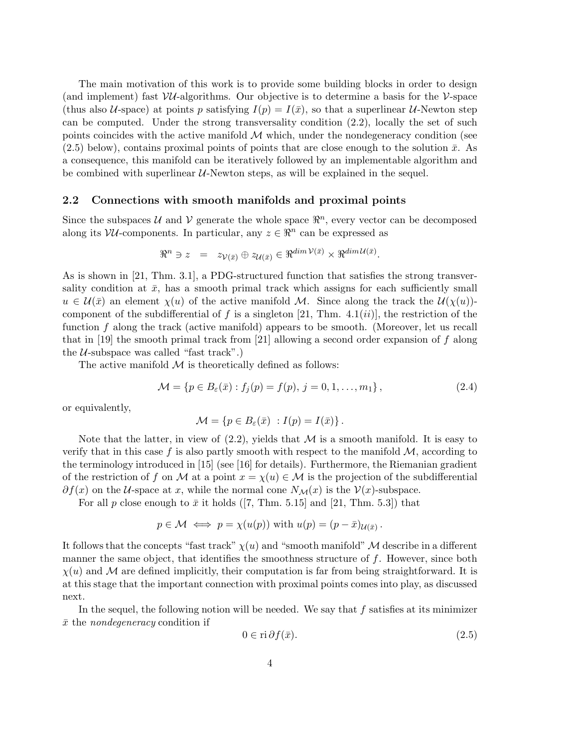The main motivation of this work is to provide some building blocks in order to design (and implement) fast  $VU$ -algorithms. Our objective is to determine a basis for the V-space (thus also U-space) at points p satisfying  $I(p) = I(\bar{x})$ , so that a superlinear U-Newton step can be computed. Under the strong transversality condition (2.2), locally the set of such points coincides with the active manifold  $M$  which, under the nondegeneracy condition (see  $(2.5)$  below), contains proximal points of points that are close enough to the solution  $\bar{x}$ . As a consequence, this manifold can be iteratively followed by an implementable algorithm and be combined with superlinear  $U$ -Newton steps, as will be explained in the sequel.

### 2.2 Connections with smooth manifolds and proximal points

Since the subspaces  $\mathcal U$  and  $\mathcal V$  generate the whole space  $\mathbb{R}^n$ , every vector can be decomposed along its  $VU$ -components. In particular, any  $z \in \mathbb{R}^n$  can be expressed as

$$
\Re^n \ni z = z_{\mathcal{V}(\bar{x})} \oplus z_{\mathcal{U}(\bar{x})} \in \Re^{\dim \mathcal{V}(\bar{x})} \times \Re^{\dim \mathcal{U}(\bar{x})}.
$$

As is shown in [21, Thm. 3.1], a PDG-structured function that satisfies the strong transversality condition at  $\bar{x}$ , has a smooth primal track which assigns for each sufficiently small  $u \in \mathcal{U}(\bar{x})$  an element  $\chi(u)$  of the active manifold M. Since along the track the  $\mathcal{U}(\chi(u))$ component of the subdifferential of f is a singleton [21, Thm. 4.1(ii)], the restriction of the function f along the track (active manifold) appears to be smooth. (Moreover, let us recall that in [19] the smooth primal track from [21] allowing a second order expansion of  $f$  along the  $U$ -subspace was called "fast track".)

The active manifold  $\mathcal M$  is theoretically defined as follows:

$$
\mathcal{M} = \{ p \in B_{\varepsilon}(\bar{x}) : f_j(p) = f(p), \ j = 0, 1, \dots, m_1 \},
$$
\n(2.4)

or equivalently,

$$
\mathcal{M} = \{ p \in B_{\varepsilon}(\bar{x}) : I(p) = I(\bar{x}) \}.
$$

Note that the latter, in view of  $(2.2)$ , yields that M is a smooth manifold. It is easy to verify that in this case f is also partly smooth with respect to the manifold  $M$ , according to the terminology introduced in [15] (see [16] for details). Furthermore, the Riemanian gradient of the restriction of f on M at a point  $x = \chi(u) \in \mathcal{M}$  is the projection of the subdifferential  $\partial f(x)$  on the U-space at x, while the normal cone  $N_{\mathcal{M}}(x)$  is the  $\mathcal{V}(x)$ -subspace.

For all p close enough to  $\bar{x}$  it holds ([7, Thm. 5.15] and [21, Thm. 5.3]) that

$$
p \in \mathcal{M} \iff p = \chi(u(p))
$$
 with  $u(p) = (p - \bar{x})_{\mathcal{U}(\bar{x})}$ .

It follows that the concepts "fast track"  $\chi(u)$  and "smooth manifold" M describe in a different manner the same object, that identifies the smoothness structure of  $f$ . However, since both  $\chi(u)$  and M are defined implicitly, their computation is far from being straightforward. It is at this stage that the important connection with proximal points comes into play, as discussed next.

In the sequel, the following notion will be needed. We say that  $f$  satisfies at its minimizer  $\bar{x}$  the *nondegeneracy* condition if

$$
0 \in \mathrm{ri}\,\partial f(\bar{x}).\tag{2.5}
$$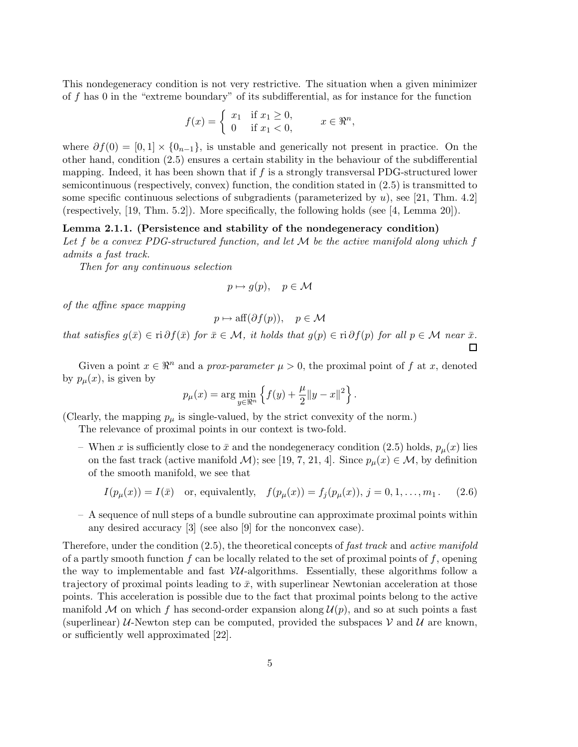This nondegeneracy condition is not very restrictive. The situation when a given minimizer of f has 0 in the "extreme boundary" of its subdifferential, as for instance for the function

$$
f(x) = \begin{cases} x_1 & \text{if } x_1 \ge 0, \\ 0 & \text{if } x_1 < 0, \end{cases} \qquad x \in \mathbb{R}^n,
$$

where  $\partial f(0) = [0, 1] \times \{0_{n-1}\}\$ , is unstable and generically not present in practice. On the other hand, condition (2.5) ensures a certain stability in the behaviour of the subdifferential mapping. Indeed, it has been shown that if  $f$  is a strongly transversal PDG-structured lower semicontinuous (respectively, convex) function, the condition stated in (2.5) is transmitted to some specific continuous selections of subgradients (parameterized by  $u$ ), see [21, Thm. 4.2] (respectively, [19, Thm. 5.2]). More specifically, the following holds (see [4, Lemma 20]).

### Lemma 2.1.1. (Persistence and stability of the nondegeneracy condition)

Let f be a convex PDG-structured function, and let  $\mathcal M$  be the active manifold along which f admits a fast track.

Then for any continuous selection

$$
p \mapsto g(p), \quad p \in \mathcal{M}
$$

of the affine space mapping

$$
p \mapsto \text{aff}(\partial f(p)), \quad p \in \mathcal{M}
$$

that satisfies  $g(\bar{x}) \in \text{ri } \partial f(\bar{x})$  for  $\bar{x} \in \mathcal{M}$ , it holds that  $g(p) \in \text{ri } \partial f(p)$  for all  $p \in \mathcal{M}$  near  $\bar{x}$ .  $\Box$ 

Given a point  $x \in \mathbb{R}^n$  and a prox-parameter  $\mu > 0$ , the proximal point of f at x, denoted by  $p_{\mu}(x)$ , is given by

$$
p_{\mu}(x) = \arg \min_{y \in \mathbb{R}^n} \left\{ f(y) + \frac{\mu}{2} ||y - x||^2 \right\}.
$$

(Clearly, the mapping  $p_{\mu}$  is single-valued, by the strict convexity of the norm.)

The relevance of proximal points in our context is two-fold.

– When x is sufficiently close to  $\bar{x}$  and the nondegeneracy condition (2.5) holds,  $p_u(x)$  lies on the fast track (active manifold M); see [19, 7, 21, 4]. Since  $p_{\mu}(x) \in \mathcal{M}$ , by definition of the smooth manifold, we see that

$$
I(p_\mu(x)) = I(\bar{x})
$$
 or, equivalently,  $f(p_\mu(x)) = f_j(p_\mu(x)), j = 0, 1, ..., m_1$ . (2.6)

– A sequence of null steps of a bundle subroutine can approximate proximal points within any desired accuracy [3] (see also [9] for the nonconvex case).

Therefore, under the condition (2.5), the theoretical concepts of fast track and active manifold of a partly smooth function f can be locally related to the set of proximal points of f, opening the way to implementable and fast  $VU$ -algorithms. Essentially, these algorithms follow a trajectory of proximal points leading to  $\bar{x}$ , with superlinear Newtonian acceleration at those points. This acceleration is possible due to the fact that proximal points belong to the active manifold M on which f has second-order expansion along  $\mathcal{U}(p)$ , and so at such points a fast (superlinear) U-Newton step can be computed, provided the subspaces  $\mathcal V$  and  $\mathcal U$  are known, or sufficiently well approximated [22].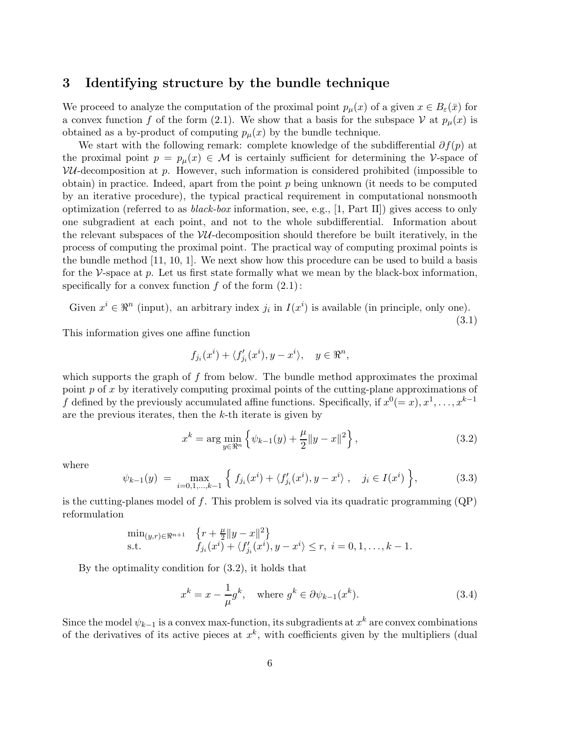# 3 Identifying structure by the bundle technique

We proceed to analyze the computation of the proximal point  $p_\mu(x)$  of a given  $x \in B_\varepsilon(\bar{x})$  for a convex function f of the form (2.1). We show that a basis for the subspace V at  $p_\mu(x)$  is obtained as a by-product of computing  $p_{\mu}(x)$  by the bundle technique.

We start with the following remark: complete knowledge of the subdifferential  $\partial f(p)$  at the proximal point  $p = p_{\mu}(x) \in \mathcal{M}$  is certainly sufficient for determining the V-space of  $VU$ -decomposition at p. However, such information is considered prohibited (impossible to obtain) in practice. Indeed, apart from the point  $p$  being unknown (it needs to be computed by an iterative procedure), the typical practical requirement in computational nonsmooth optimization (referred to as *black-box* information, see, e.g., [1, Part II]) gives access to only one subgradient at each point, and not to the whole subdifferential. Information about the relevant subspaces of the  $VU$ -decomposition should therefore be built iteratively, in the process of computing the proximal point. The practical way of computing proximal points is the bundle method [11, 10, 1]. We next show how this procedure can be used to build a basis for the V-space at  $p$ . Let us first state formally what we mean by the black-box information, specifically for a convex function  $f$  of the form  $(2.1)$ :

Given 
$$
x^i \in \mathbb{R}^n
$$
 (input), an arbitrary index  $j_i$  in  $I(x^i)$  is available (in principle, only one).

(3.1)

This information gives one affine function

$$
f_{j_i}(x^i) + \langle f'_{j_i}(x^i), y - x^i \rangle, \quad y \in \Re^n,
$$

which supports the graph of  $f$  from below. The bundle method approximates the proximal point  $p$  of  $x$  by iteratively computing proximal points of the cutting-plane approximations of f defined by the previously accumulated affine functions. Specifically, if  $x^0 (= x)$ ,  $x^1, \ldots, x^{k-1}$ are the previous iterates, then the  $k$ -th iterate is given by

$$
x^{k} = \arg\min_{y \in \mathbb{R}^{n}} \left\{ \psi_{k-1}(y) + \frac{\mu}{2} \|y - x\|^{2} \right\},
$$
\n(3.2)

where

$$
\psi_{k-1}(y) = \max_{i=0,1,\dots,k-1} \left\{ f_{j_i}(x^i) + \langle f'_{j_i}(x^i), y - x^i \rangle, \quad j_i \in I(x^i) \right\},\tag{3.3}
$$

is the cutting-planes model of f. This problem is solved via its quadratic programming  $(QP)$ reformulation

$$
\min_{(y,r)\in\Re^{n+1}} \quad \begin{cases} r + \frac{\mu}{2} \|y - x\|^2 \\ f_{j_i}(x^i) + \langle f'_{j_i}(x^i), y - x^i \rangle \le r, \ i = 0, 1, \dots, k - 1. \end{cases}
$$
 s.t.

By the optimality condition for (3.2), it holds that

$$
x^{k} = x - \frac{1}{\mu}g^{k}, \quad \text{where } g^{k} \in \partial \psi_{k-1}(x^{k}).
$$
\n(3.4)

Since the model  $\psi_{k-1}$  is a convex max-function, its subgradients at  $x^k$  are convex combinations of the derivatives of its active pieces at  $x^k$ , with coefficients given by the multipliers (dual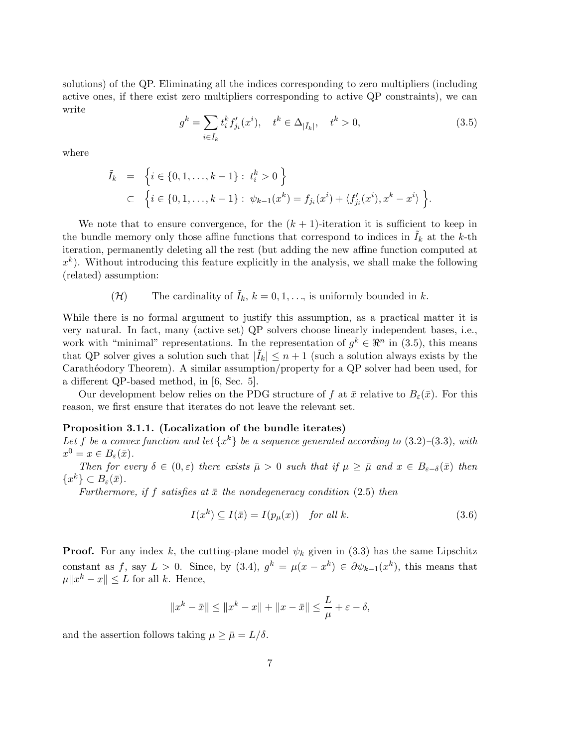solutions) of the QP. Eliminating all the indices corresponding to zero multipliers (including active ones, if there exist zero multipliers corresponding to active QP constraints), we can write

$$
g^{k} = \sum_{i \in \tilde{I}_{k}} t_{i}^{k} f_{j_{i}}'(x^{i}), \quad t^{k} \in \Delta_{|\tilde{I}_{k}|}, \quad t^{k} > 0,
$$
\n(3.5)

where

$$
\tilde{I}_k = \left\{ i \in \{0, 1, \dots, k-1\} : t_i^k > 0 \right\} \subset \left\{ i \in \{0, 1, \dots, k-1\} : \psi_{k-1}(x^k) = f_{j_i}(x^i) + \langle f'_{j_i}(x^i), x^k - x^i \rangle \right\}.
$$

We note that to ensure convergence, for the  $(k + 1)$ -iteration it is sufficient to keep in the bundle memory only those affine functions that correspond to indices in  $\tilde{I}_k$  at the k-th iteration, permanently deleting all the rest (but adding the new affine function computed at  $x^k$ ). Without introducing this feature explicitly in the analysis, we shall make the following (related) assumption:

(*H*) The cardinality of 
$$
\tilde{I}_k
$$
,  $k = 0, 1, \ldots$ , is uniformly bounded in  $k$ .

While there is no formal argument to justify this assumption, as a practical matter it is very natural. In fact, many (active set) QP solvers choose linearly independent bases, i.e., work with "minimal" representations. In the representation of  $g^k \in \mathbb{R}^n$  in (3.5), this means that QP solver gives a solution such that  $|\tilde{I}_k| \leq n+1$  (such a solution always exists by the Carathéodory Theorem). A similar assumption/property for a QP solver had been used, for a different QP-based method, in [6, Sec. 5].

Our development below relies on the PDG structure of f at  $\bar{x}$  relative to  $B_{\varepsilon}(\bar{x})$ . For this reason, we first ensure that iterates do not leave the relevant set.

#### Proposition 3.1.1. (Localization of the bundle iterates)

Let f be a convex function and let  $\{x^k\}$  be a sequence generated according to  $(3.2)$ – $(3.3)$ , with  $x^0 = x \in B_{\varepsilon}(\bar{x}).$ 

Then for every  $\delta \in (0, \varepsilon)$  there exists  $\bar{\mu} > 0$  such that if  $\mu \geq \bar{\mu}$  and  $x \in B_{\varepsilon-\delta}(\bar{x})$  then  $\{x^k\} \subset B_{\varepsilon}(\bar{x}).$ 

Furthermore, if f satisfies at  $\bar{x}$  the nondegeneracy condition (2.5) then

$$
I(x^k) \subseteq I(\bar{x}) = I(p_\mu(x)) \quad \text{for all } k. \tag{3.6}
$$

**Proof.** For any index k, the cutting-plane model  $\psi_k$  given in (3.3) has the same Lipschitz constant as f, say  $L > 0$ . Since, by  $(3.4)$ ,  $g^k = \mu(x - x^k) \in \partial \psi_{k-1}(x^k)$ , this means that  $\mu \|x^k - x\| \leq L$  for all k. Hence,

$$
||x^k - \bar{x}|| \le ||x^k - x|| + ||x - \bar{x}|| \le \frac{L}{\mu} + \varepsilon - \delta,
$$

and the assertion follows taking  $\mu \geq \bar{\mu} = L/\delta$ .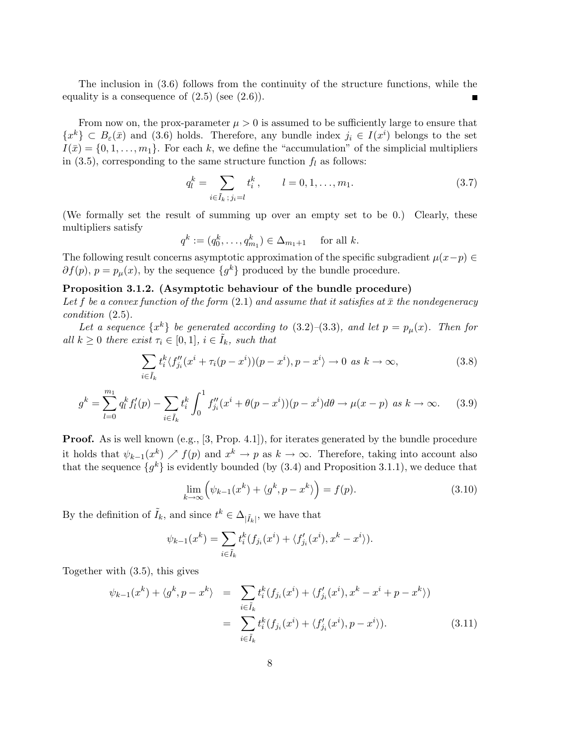The inclusion in (3.6) follows from the continuity of the structure functions, while the equality is a consequence of  $(2.5)$  (see  $(2.6)$ ).  $\blacksquare$ 

From now on, the prox-parameter  $\mu > 0$  is assumed to be sufficiently large to ensure that  ${x^k}\subset B_{\varepsilon}(\bar x)$  and (3.6) holds. Therefore, any bundle index  $j_i \in I(x^i)$  belongs to the set  $I(\bar{x}) = \{0, 1, \ldots, m_1\}.$  For each k, we define the "accumulation" of the simplicial multipliers in (3.5), corresponding to the same structure function  $f_l$  as follows:

$$
q_l^k = \sum_{i \in \tilde{I}_k \, ; \, j_i = l} t_i^k, \qquad l = 0, 1, \dots, m_1. \tag{3.7}
$$

(We formally set the result of summing up over an empty set to be 0.) Clearly, these multipliers satisfy

$$
q^k := (q_0^k, \ldots, q_{m_1}^k) \in \Delta_{m_1+1}
$$
 for all  $k$ .

The following result concerns asymptotic approximation of the specific subgradient  $\mu(x-p) \in$  $\partial f(p), p = p_{\mu}(x)$ , by the sequence  $\{g^k\}$  produced by the bundle procedure.

## Proposition 3.1.2. (Asymptotic behaviour of the bundle procedure)

Let f be a convex function of the form  $(2.1)$  and assume that it satisfies at  $\bar{x}$  the nondegeneracy condition (2.5).

Let a sequence  $\{x^k\}$  be generated according to  $(3.2)$ – $(3.3)$ , and let  $p = p_\mu(x)$ . Then for all  $k \geq 0$  there exist  $\tau_i \in [0,1], i \in \tilde{I}_k$ , such that

$$
\sum_{i \in \tilde{I}_k} t_i^k \langle f''_{j_i}(x^i + \tau_i(p - x^i))(p - x^i), p - x^i \rangle \to 0 \text{ as } k \to \infty,
$$
\n(3.8)

$$
g^{k} = \sum_{l=0}^{m_{1}} q_{l}^{k} f_{l}'(p) - \sum_{i \in \tilde{I}_{k}} t_{i}^{k} \int_{0}^{1} f_{j_{i}}''(x^{i} + \theta(p - x^{i}))(p - x^{i}) d\theta \to \mu(x - p) \text{ as } k \to \infty.
$$
 (3.9)

**Proof.** As is well known (e.g., [3, Prop. 4.1]), for iterates generated by the bundle procedure it holds that  $\psi_{k-1}(x^k) \nearrow f(p)$  and  $x^k \to p$  as  $k \to \infty$ . Therefore, taking into account also that the sequence  $\{g^k\}$  is evidently bounded (by (3.4) and Proposition 3.1.1), we deduce that

$$
\lim_{k \to \infty} \left( \psi_{k-1}(x^k) + \langle g^k, p - x^k \rangle \right) = f(p). \tag{3.10}
$$

By the definition of  $\tilde{I}_k$ , and since  $t^k \in \Delta_{|\tilde{I}_k|}$ , we have that

$$
\psi_{k-1}(x^k) = \sum_{i \in \tilde{I}_k} t_i^k (f_{j_i}(x^i) + \langle f'_{j_i}(x^i), x^k - x^i \rangle).
$$

Together with (3.5), this gives

$$
\psi_{k-1}(x^k) + \langle g^k, p - x^k \rangle = \sum_{i \in \tilde{I}_k} t_i^k (f_{j_i}(x^i) + \langle f'_{j_i}(x^i), x^k - x^i + p - x^k \rangle)
$$
  

$$
= \sum_{i \in \tilde{I}_k} t_i^k (f_{j_i}(x^i) + \langle f'_{j_i}(x^i), p - x^i \rangle).
$$
 (3.11)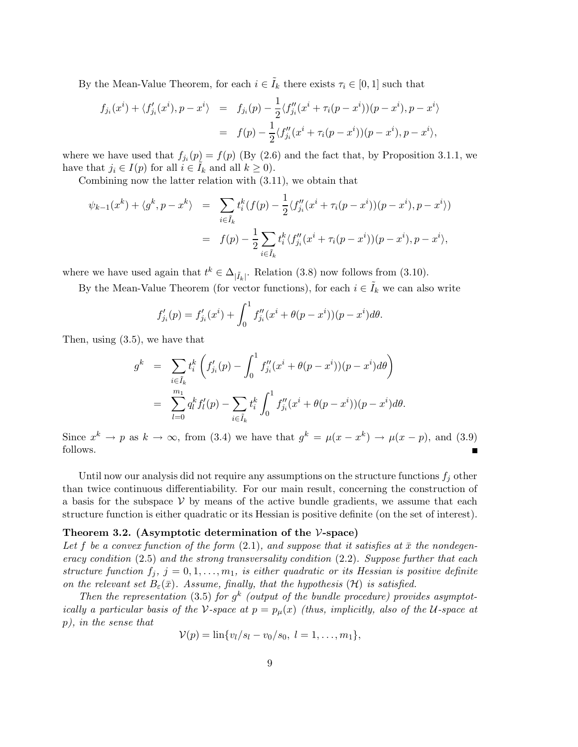By the Mean-Value Theorem, for each  $i \in I_k$  there exists  $\tau_i \in [0, 1]$  such that

$$
f_{j_i}(x^i) + \langle f'_{j_i}(x^i), p - x^i \rangle = f_{j_i}(p) - \frac{1}{2} \langle f''_{j_i}(x^i + \tau_i(p - x^i))(p - x^i), p - x^i \rangle
$$
  
=  $f(p) - \frac{1}{2} \langle f''_{j_i}(x^i + \tau_i(p - x^i))(p - x^i), p - x^i \rangle$ ,

where we have used that  $f_{j_i}(p) = f(p)$  (By (2.6) and the fact that, by Proposition 3.1.1, we have that  $j_i \in I(p)$  for all  $i \in \overline{I}_k$  and all  $k \geq 0$ ).

Combining now the latter relation with (3.11), we obtain that

$$
\psi_{k-1}(x^k) + \langle g^k, p - x^k \rangle = \sum_{i \in \tilde{I}_k} t_i^k (f(p) - \frac{1}{2} \langle f''_{j_i}(x^i + \tau_i(p - x^i))(p - x^i), p - x^i \rangle)
$$
  

$$
= f(p) - \frac{1}{2} \sum_{i \in \tilde{I}_k} t_i^k \langle f''_{j_i}(x^i + \tau_i(p - x^i))(p - x^i), p - x^i \rangle,
$$

where we have used again that  $t^k \in \Delta_{|\tilde{I}_k|}$ . Relation (3.8) now follows from (3.10).

By the Mean-Value Theorem (for vector functions), for each  $i \in I_k$  we can also write

$$
f'_{j_i}(p) = f'_{j_i}(x^i) + \int_0^1 f''_{j_i}(x^i + \theta(p - x^i))(p - x^i)d\theta.
$$

Then, using (3.5), we have that

$$
g^{k} = \sum_{i \in \tilde{I}_{k}} t_{i}^{k} \left( f'_{j_{i}}(p) - \int_{0}^{1} f''_{j_{i}}(x^{i} + \theta(p - x^{i}))(p - x^{i}) d\theta \right)
$$
  

$$
= \sum_{l=0}^{m_{1}} q_{l}^{k} f'_{l}(p) - \sum_{i \in \tilde{I}_{k}} t_{i}^{k} \int_{0}^{1} f''_{j_{i}}(x^{i} + \theta(p - x^{i}))(p - x^{i}) d\theta.
$$

Since  $x^k \to p$  as  $k \to \infty$ , from (3.4) we have that  $g^k = \mu(x - x^k) \to \mu(x - p)$ , and (3.9) follows.

Until now our analysis did not require any assumptions on the structure functions  $f_i$  other than twice continuous differentiability. For our main result, concerning the construction of a basis for the subspace  $V$  by means of the active bundle gradients, we assume that each structure function is either quadratic or its Hessian is positive definite (on the set of interest).

#### Theorem 3.2. (Asymptotic determination of the  $\mathcal{V}\text{-space}$ )

Let f be a convex function of the form  $(2.1)$ , and suppose that it satisfies at  $\bar{x}$  the nondegeneracy condition  $(2.5)$  and the strong transversality condition  $(2.2)$ . Suppose further that each structure function  $f_j$ ,  $j = 0, 1, ..., m_1$ , is either quadratic or its Hessian is positive definite on the relevant set  $B_{\varepsilon}(\bar{x})$ . Assume, finally, that the hypothesis (H) is satisfied.

Then the representation (3.5) for  $g^k$  (output of the bundle procedure) provides asymptotically a particular basis of the V-space at  $p = p_{\mu}(x)$  (thus, implicitly, also of the U-space at p), in the sense that

$$
\mathcal{V}(p) = \ln\{v_l/s_l - v_0/s_0, \ l = 1, \ldots, m_1\},\
$$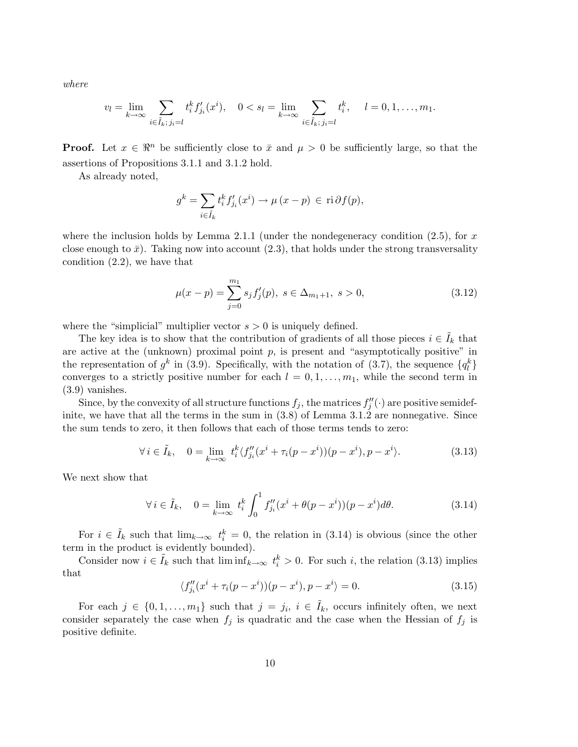where

$$
v_l = \lim_{k \to \infty} \sum_{i \in \tilde{I}_k, j_i = l} t_i^k f'_{j_i}(x^i), \quad 0 < s_l = \lim_{k \to \infty} \sum_{i \in \tilde{I}_k, j_i = l} t_i^k, \quad l = 0, 1, \dots, m_1.
$$

**Proof.** Let  $x \in \mathbb{R}^n$  be sufficiently close to  $\bar{x}$  and  $\mu > 0$  be sufficiently large, so that the assertions of Propositions 3.1.1 and 3.1.2 hold.

As already noted,

$$
g^{k} = \sum_{i \in \tilde{I}_{k}} t_{i}^{k} f'_{j_{i}}(x^{i}) \to \mu (x - p) \in \text{ri}\,\partial f(p),
$$

where the inclusion holds by Lemma 2.1.1 (under the nondegeneracy condition  $(2.5)$ , for x close enough to  $\bar{x}$ ). Taking now into account (2.3), that holds under the strong transversality condition (2.2), we have that

$$
\mu(x - p) = \sum_{j=0}^{m_1} s_j f'_j(p), \ s \in \Delta_{m_1 + 1}, \ s > 0,
$$
\n(3.12)

where the "simplicial" multiplier vector  $s > 0$  is uniquely defined.

The key idea is to show that the contribution of gradients of all those pieces  $i \in \tilde{I}_k$  that are active at the (unknown) proximal point  $p$ , is present and "asymptotically positive" in the representation of  $g^k$  in (3.9). Specifically, with the notation of (3.7), the sequence  $\{q^k_l\}$ converges to a strictly positive number for each  $l = 0, 1, \ldots, m_1$ , while the second term in (3.9) vanishes.

Since, by the convexity of all structure functions  $f_j$ , the matrices  $f''_j(\cdot)$  are positive semidefinite, we have that all the terms in the sum in  $(3.8)$  of Lemma 3.1.2 are nonnegative. Since the sum tends to zero, it then follows that each of those terms tends to zero:

$$
\forall i \in \tilde{I}_k, \quad 0 = \lim_{k \to \infty} t_i^k \langle f''_{j_i}(x^i + \tau_i(p - x^i))(p - x^i), p - x^i \rangle. \tag{3.13}
$$

We next show that

$$
\forall i \in \tilde{I}_k, \quad 0 = \lim_{k \to \infty} t_i^k \int_0^1 f''_{j_i}(x^i + \theta(p - x^i))(p - x^i) d\theta.
$$
 (3.14)

For  $i \in \tilde{I}_k$  such that  $\lim_{k\to\infty} t_i^k = 0$ , the relation in (3.14) is obvious (since the other term in the product is evidently bounded).

Consider now  $i \in \tilde{I}_k$  such that  $\liminf_{k \to \infty} t_i^k > 0$ . For such i, the relation (3.13) implies that

$$
\langle f''_{j_i}(x^i + \tau_i(p - x^i))(p - x^i), p - x^i \rangle = 0.
$$
\n(3.15)

For each  $j \in \{0, 1, \ldots, m_1\}$  such that  $j = j_i, i \in \tilde{I}_k$ , occurs infinitely often, we next consider separately the case when  $f_j$  is quadratic and the case when the Hessian of  $f_j$  is positive definite.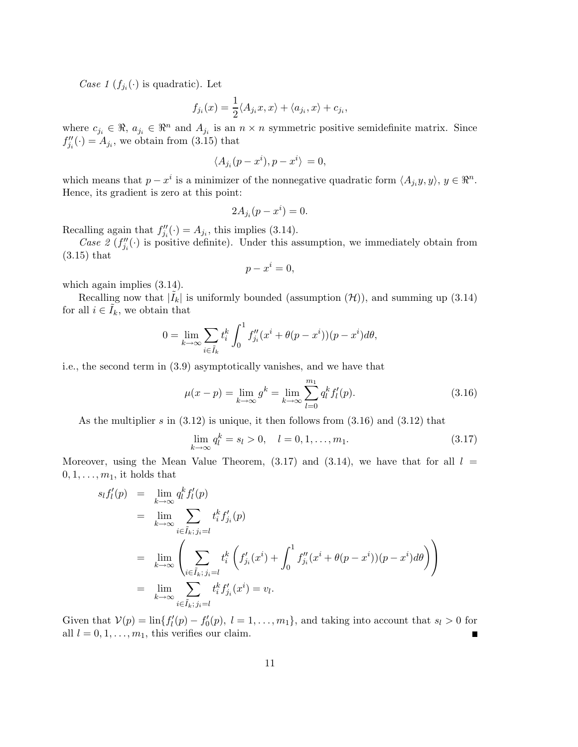Case 1  $(f_{j_i}(\cdot))$  is quadratic). Let

$$
f_{j_i}(x) = \frac{1}{2} \langle A_{j_i} x, x \rangle + \langle a_{j_i}, x \rangle + c_{j_i},
$$

where  $c_{j_i} \in \mathbb{R}$ ,  $a_{j_i} \in \mathbb{R}^n$  and  $A_{j_i}$  is an  $n \times n$  symmetric positive semidefinite matrix. Since  $f''_{j_i}(\cdot) = A_{j_i}$ , we obtain from (3.15) that

$$
\langle A_{j_i}(p-x^i), p-x^i \rangle = 0,
$$

which means that  $p - x^i$  is a minimizer of the nonnegative quadratic form  $\langle A_{j_i} y, y \rangle, y \in \mathbb{R}^n$ . Hence, its gradient is zero at this point:

$$
2A_{j_i}(p - x^i) = 0.
$$

Recalling again that  $f''_{j_i}(\cdot) = A_{j_i}$ , this implies (3.14).

Case 2  $(f''_{j_i}(\cdot)$  is positive definite). Under this assumption, we immediately obtain from (3.15) that

$$
p - x^i = 0,
$$

which again implies  $(3.14)$ .

Recalling now that  $|\tilde{I}_k|$  is uniformly bounded (assumption  $(\mathcal{H})$ ), and summing up (3.14) for all  $i \in \tilde{I}_k$ , we obtain that

$$
0 = \lim_{k \to \infty} \sum_{i \in \tilde{I}_k} t_i^k \int_0^1 f''_{j_i}(x^i + \theta(p - x^i))(p - x^i) d\theta,
$$

i.e., the second term in (3.9) asymptotically vanishes, and we have that

$$
\mu(x - p) = \lim_{k \to \infty} g^k = \lim_{k \to \infty} \sum_{l=0}^{m_1} q_l^k f'_l(p).
$$
\n(3.16)

As the multiplier s in  $(3.12)$  is unique, it then follows from  $(3.16)$  and  $(3.12)$  that

$$
\lim_{k \to \infty} q_l^k = s_l > 0, \quad l = 0, 1, \dots, m_1.
$$
\n(3.17)

Moreover, using the Mean Value Theorem,  $(3.17)$  and  $(3.14)$ , we have that for all  $l =$  $0, 1, \ldots, m_1$ , it holds that

$$
s_l f'_l(p) = \lim_{k \to \infty} q_l^k f'_l(p)
$$
  
\n
$$
= \lim_{k \to \infty} \sum_{i \in \tilde{I}_k; j_i = l} t_i^k f'_{j_i}(p)
$$
  
\n
$$
= \lim_{k \to \infty} \left( \sum_{i \in \tilde{I}_k; j_i = l} t_i^k \left( f'_{j_i}(x^i) + \int_0^1 f''_{j_i}(x^i + \theta(p - x^i))(p - x^i) d\theta \right) \right)
$$
  
\n
$$
= \lim_{k \to \infty} \sum_{i \in \tilde{I}_k; j_i = l} t_i^k f'_{j_i}(x^i) = v_l.
$$

Given that  $V(p) = \ln\{f'(p) - f'(p), l = 1, ..., m_1\}$ , and taking into account that  $s_l > 0$  for all  $l = 0, 1, \ldots, m_1$ , this verifies our claim. п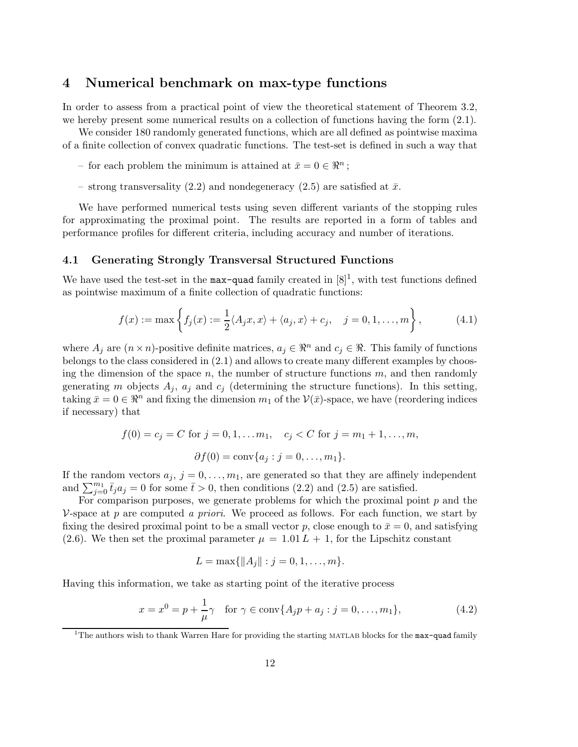## 4 Numerical benchmark on max-type functions

In order to assess from a practical point of view the theoretical statement of Theorem 3.2, we hereby present some numerical results on a collection of functions having the form  $(2.1)$ .

We consider 180 randomly generated functions, which are all defined as pointwise maxima of a finite collection of convex quadratic functions. The test-set is defined in such a way that

- for each problem the minimum is attained at  $\bar{x} = 0 \in \mathbb{R}^n$ ;
- strong transversality (2.2) and nondegeneracy (2.5) are satisfied at  $\bar{x}$ .

We have performed numerical tests using seven different variants of the stopping rules for approximating the proximal point. The results are reported in a form of tables and performance profiles for different criteria, including accuracy and number of iterations.

### 4.1 Generating Strongly Transversal Structured Functions

We have used the test-set in the  $max$ -quad family created in  $[8]^1$ , with test functions defined as pointwise maximum of a finite collection of quadratic functions:

$$
f(x) := \max\left\{f_j(x) := \frac{1}{2}\langle A_j x, x \rangle + \langle a_j, x \rangle + c_j, \quad j = 0, 1, \dots, m\right\},\tag{4.1}
$$

where  $A_j$  are  $(n \times n)$ -positive definite matrices,  $a_j \in \mathbb{R}^n$  and  $c_j \in \mathbb{R}$ . This family of functions belongs to the class considered in (2.1) and allows to create many different examples by choosing the dimension of the space  $n$ , the number of structure functions  $m$ , and then randomly generating m objects  $A_j$ ,  $a_j$  and  $c_j$  (determining the structure functions). In this setting, taking  $\bar{x}=0 \in \mathbb{R}^n$  and fixing the dimension  $m_1$  of the  $\mathcal{V}(\bar{x})$ -space, we have (reordering indices if necessary) that

$$
f(0) = c_j = C
$$
 for  $j = 0, 1, ..., m_1, c_j < C$  for  $j = m_1 + 1, ..., m$ ,  
 $\partial f(0) = \text{conv}\{a_j : j = 0, ..., m_1\}.$ 

If the random vectors  $a_j$ ,  $j = 0, \ldots, m_1$ , are generated so that they are affinely independent and  $\sum_{j=0}^{m_1} \bar{t}_j a_j = 0$  for some  $\bar{t} > 0$ , then conditions (2.2) and (2.5) are satisfied.

For comparison purposes, we generate problems for which the proximal point  $p$  and the  $\nu$ -space at p are computed a priori. We proceed as follows. For each function, we start by fixing the desired proximal point to be a small vector p, close enough to  $\bar{x}=0$ , and satisfying (2.6). We then set the proximal parameter  $\mu = 1.01 L + 1$ , for the Lipschitz constant

$$
L = \max\{\|A_j\| : j = 0, 1, \ldots, m\}.
$$

Having this information, we take as starting point of the iterative process

$$
x = x^{0} = p + \frac{1}{\mu}\gamma \text{ for } \gamma \in \text{conv}\{A_{j}p + a_{j} : j = 0, ..., m_{1}\},
$$
 (4.2)

<sup>&</sup>lt;sup>1</sup>The authors wish to thank Warren Hare for providing the starting MATLAB blocks for the max-quad family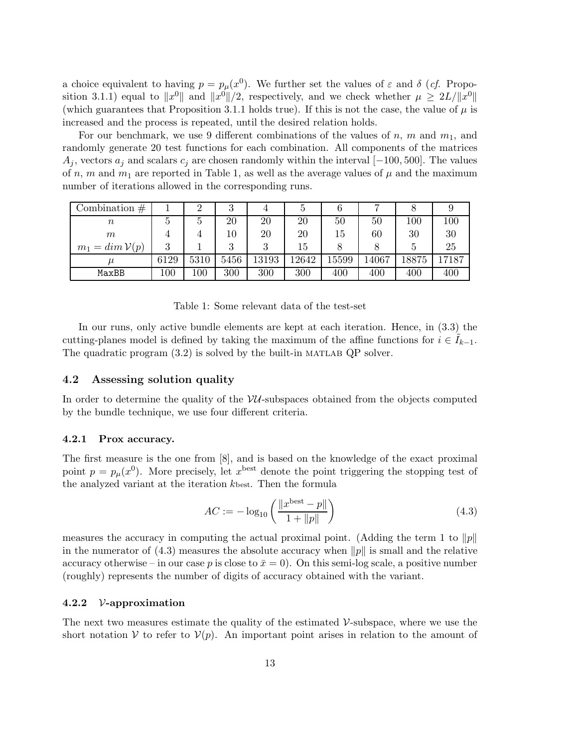a choice equivalent to having  $p = p_{\mu}(x^0)$ . We further set the values of  $\varepsilon$  and  $\delta$  (*cf.* Proposition 3.1.1) equal to  $||x^0||$  and  $||x^0||/2$ , respectively, and we check whether  $\mu \geq 2L/||x^0||$ (which guarantees that Proposition 3.1.1 holds true). If this is not the case, the value of  $\mu$  is increased and the process is repeated, until the desired relation holds.

For our benchmark, we use 9 different combinations of the values of n, m and  $m_1$ , and randomly generate 20 test functions for each combination. All components of the matrices  $A_j$ , vectors  $a_j$  and scalars  $c_j$  are chosen randomly within the interval  $[-100, 500]$ . The values of n, m and  $m_1$  are reported in Table 1, as well as the average values of  $\mu$  and the maximum number of iterations allowed in the corresponding runs.

| Combination $#$   |         | 2       | 3    |           |       |       |       |      |       |
|-------------------|---------|---------|------|-----------|-------|-------|-------|------|-------|
| $\, n$            | G       | 5       | 20   | 20        | 20    | 50    | 50    | 100  | 100   |
| $m\,$             |         |         | 10   | 20        | 20    | 15    | 60    | 30   | 30    |
| $m_1 = \dim V(p)$ | 3       |         | 3    | റ         | 15    |       |       |      | 25    |
|                   | 6129    | 5310    | 5456 | $13193\,$ | 12642 | 15599 | 14067 | 8875 | 17187 |
| MaxBB             | $100\,$ | $100\,$ | 300  | 300       | 300   | 400   | 400   | 400  | 400   |

Table 1: Some relevant data of the test-set

In our runs, only active bundle elements are kept at each iteration. Hence, in (3.3) the cutting-planes model is defined by taking the maximum of the affine functions for  $i \in \tilde{I}_{k-1}$ . The quadratic program  $(3.2)$  is solved by the built-in MATLAB QP solver.

### 4.2 Assessing solution quality

In order to determine the quality of the  $VU$ -subspaces obtained from the objects computed by the bundle technique, we use four different criteria.

### 4.2.1 Prox accuracy.

The first measure is the one from [8], and is based on the knowledge of the exact proximal point  $p = p<sub>\mu</sub>(x<sup>0</sup>)$ . More precisely, let  $x<sup>best</sup>$  denote the point triggering the stopping test of the analyzed variant at the iteration kbest. Then the formula

$$
AC := -\log_{10}\left(\frac{\|x^{\text{best}} - p\|}{1 + \|p\|}\right) \tag{4.3}
$$

measures the accuracy in computing the actual proximal point. (Adding the term 1 to  $||p||$ in the numerator of  $(4.3)$  measures the absolute accuracy when  $||p||$  is small and the relative accuracy otherwise – in our case p is close to  $\bar{x}=0$ ). On this semi-log scale, a positive number (roughly) represents the number of digits of accuracy obtained with the variant.

#### 4.2.2 V-approximation

The next two measures estimate the quality of the estimated  $\mathcal{V}$ -subspace, where we use the short notation V to refer to  $V(p)$ . An important point arises in relation to the amount of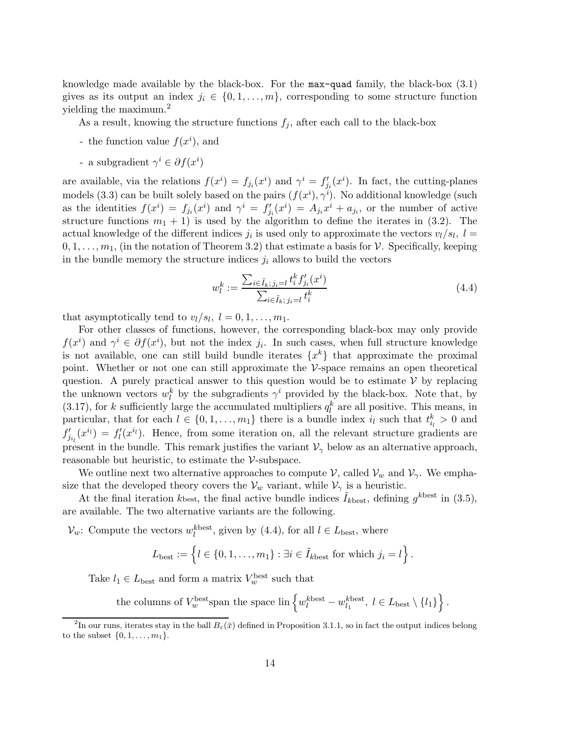knowledge made available by the black-box. For the max-quad family, the black-box (3.1) gives as its output an index  $j_i \in \{0, 1, \ldots, m\}$ , corresponding to some structure function yielding the maximum.<sup>2</sup>

As a result, knowing the structure functions  $f_j$ , after each call to the black-box

- the function value  $f(x^i)$ , and
- a subgradient  $\gamma^i \in \partial f(x^i)$

are available, via the relations  $f(x^i) = f_{j_i}(x^i)$  and  $\gamma^i = f'_{j_i}(x^i)$ . In fact, the cutting-planes models (3.3) can be built solely based on the pairs  $(f(x^i), \gamma^i)$ . No additional knowledge (such as the identities  $f(x^i) = f_{j_i}(x^i)$  and  $\gamma^i = f'_{j_i}(x^i) = A_{j_i}x^i + a_{j_i}$ , or the number of active structure functions  $m_1 + 1$ ) is used by the algorithm to define the iterates in (3.2). The actual knowledge of the different indices  $j_i$  is used only to approximate the vectors  $v_l/s_l$ ,  $l =$  $0, 1, \ldots, m_1$ , (in the notation of Theorem 3.2) that estimate a basis for V. Specifically, keeping in the bundle memory the structure indices  $j_i$  allows to build the vectors

$$
w_l^k := \frac{\sum_{i \in \tilde{I}_k, j_i = l} t_i^k f'_{j_i}(x^i)}{\sum_{i \in \tilde{I}_k, j_i = l} t_i^k}
$$
(4.4)

that asymptotically tend to  $v_l/s_l$ ,  $l = 0, 1, ..., m_1$ .

For other classes of functions, however, the corresponding black-box may only provide  $f(x^i)$  and  $\gamma^i \in \partial f(x^i)$ , but not the index  $j_i$ . In such cases, when full structure knowledge is not available, one can still build bundle iterates  $\{x^k\}$  that approximate the proximal point. Whether or not one can still approximate the  $\mathcal V$ -space remains an open theoretical question. A purely practical answer to this question would be to estimate  $\mathcal V$  by replacing the unknown vectors  $w_l^k$  by the subgradients  $\gamma^i$  provided by the black-box. Note that, by (3.17), for k sufficiently large the accumulated multipliers  $q_l^k$  are all positive. This means, in particular, that for each  $l \in \{0, 1, \ldots, m_1\}$  there is a bundle index  $i_l$  such that  $t_{i_l}^k > 0$  and  $f'_{j_{i_l}}(x^{i_l}) = f'_{l}(x^{i_l})$ . Hence, from some iteration on, all the relevant structure gradients are present in the bundle. This remark justifies the variant  $\mathcal{V}_{\gamma}$  below as an alternative approach, reasonable but heuristic, to estimate the V-subspace.

We outline next two alternative approaches to compute  $\mathcal{V}$ , called  $\mathcal{V}_w$  and  $\mathcal{V}_\gamma$ . We emphasize that the developed theory covers the  $V_w$  variant, while  $V_\gamma$  is a heuristic.

At the final iteration kbest, the final active bundle indices  $\tilde{I}_{k\text{best}}$ , defining  $g^{k\text{best}}$  in (3.5), are available. The two alternative variants are the following.

 $\mathcal{V}_w$ : Compute the vectors  $w_l^{\text{kbest}}$ , given by (4.4), for all  $l \in L_{\text{best}}$ , where

$$
L_{\text{best}} := \left\{ l \in \{0, 1, \ldots, m_1\} : \exists i \in \tilde{I}_{k\text{best}} \text{ for which } j_i = l \right\}.
$$

Take  $l_1 \in L_{\text{best}}$  and form a matrix  $V_w^{\text{best}}$  such that

the columns of  $V_w^{\text{best}}$  span the space  $\text{lin}\left\{w_l^{\text{best}}-w_{l_1}^{\text{best}},\ l \in L_{\text{best}}\setminus\{l_1\}\right\}$ .

<sup>&</sup>lt;sup>2</sup>In our runs, iterates stay in the ball  $B_\varepsilon(\bar{x})$  defined in Proposition 3.1.1, so in fact the output indices belong to the subset  $\{0, 1, \ldots, m_1\}.$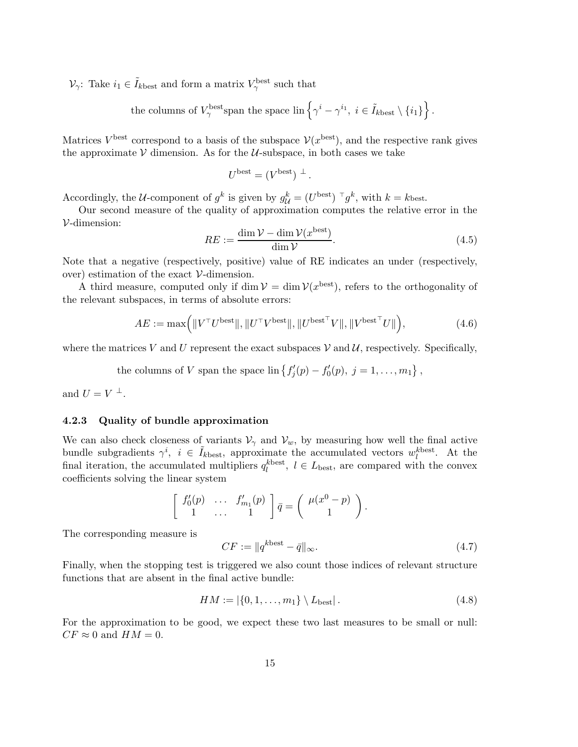$\mathcal{V}_{\gamma}$ : Take  $i_1 \in \tilde{I}_{k\text{best}}$  and form a matrix  $V_{\gamma}^{\text{best}}$  such that

the columns of 
$$
V_{\gamma}^{\text{best}}
$$
span the space  $\text{lin}\left\{\gamma^{i} - \gamma^{i_1}, i \in \tilde{I}_{k\text{best}} \setminus \{i_1\}\right\}$ .

Matrices  $V^{\text{best}}$  correspond to a basis of the subspace  $\mathcal{V}(x^{\text{best}})$ , and the respective rank gives the approximate  $\mathcal V$  dimension. As for the  $\mathcal U$ -subspace, in both cases we take

$$
U^{\text{best}} = (V^{\text{best}})^{\perp}.
$$

Accordingly, the U-component of  $g^k$  is given by  $g^k_{\mathcal{U}} = (U^{\text{best}})^{\top} g^k$ , with  $k = k$  best.

Our second measure of the quality of approximation computes the relative error in the V-dimension:

$$
RE := \frac{\dim \mathcal{V} - \dim \mathcal{V}(x^{\text{best}})}{\dim \mathcal{V}}.
$$
\n(4.5)

Note that a negative (respectively, positive) value of RE indicates an under (respectively, over) estimation of the exact  $V$ -dimension.

A third measure, computed only if dim  $\mathcal{V} = \dim \mathcal{V}(x^{\text{best}})$ , refers to the orthogonality of the relevant subspaces, in terms of absolute errors:

$$
AE := \max\left( \|V^\top U^{\text{best}}\|, \|U^\top V^{\text{best}}\|, \|U^{\text{best}}^\top V\|, \|V^{\text{best}}^\top U\|\right),\tag{4.6}
$$

where the matrices V and U represent the exact subspaces V and U, respectively. Specifically,

the columns of V span the space  $\text{lin}\left\{f'_{j}(p) - f'_{0}(p), j = 1, \ldots, m_{1}\right\},$ 

and  $U = V^{\perp}$ .

## 4.2.3 Quality of bundle approximation

We can also check closeness of variants  $\mathcal{V}_{\gamma}$  and  $\mathcal{V}_{w}$ , by measuring how well the final active bundle subgradients  $\gamma^i$ ,  $i \in \tilde{I}_{k\text{best}}$ , approximate the accumulated vectors  $w_l^{k\text{best}}$ . At the final iteration, the accumulated multipliers  $q_l^{\text{best}}$ ,  $l \in L_{\text{best}}$ , are compared with the convex coefficients solving the linear system

$$
\left[\begin{array}{ccc}f'_0(p) & \ldots & f'_{m_1}(p) \\ 1 & \ldots & 1\end{array}\right]\overline{q}=\left(\begin{array}{c} \mu(x^0-p) \\ 1\end{array}\right).
$$

The corresponding measure is

$$
CF := ||q^{k\text{best}} - \bar{q}||_{\infty}.
$$
\n
$$
(4.7)
$$

Finally, when the stopping test is triggered we also count those indices of relevant structure functions that are absent in the final active bundle:

$$
HM := |\{0, 1, \dots, m_1\} \setminus L_{\text{best}}|.
$$
\n(4.8)

For the approximation to be good, we expect these two last measures to be small or null:  $CF \approx 0$  and  $HM = 0$ .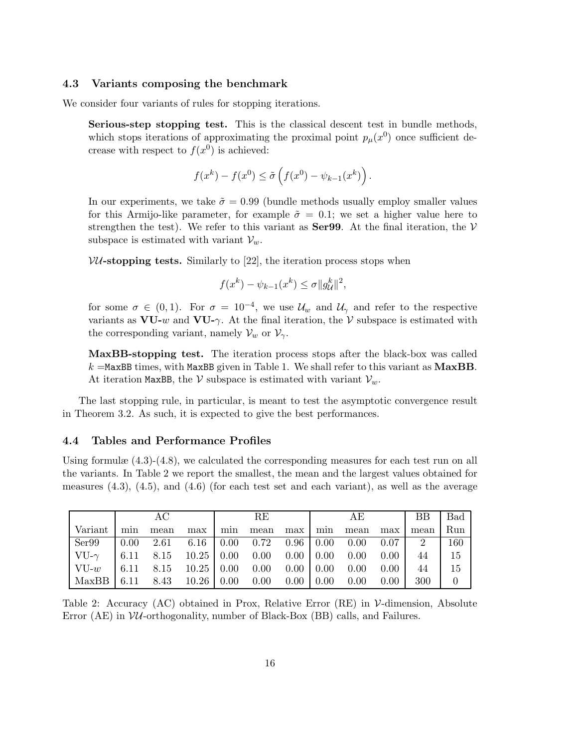### 4.3 Variants composing the benchmark

We consider four variants of rules for stopping iterations.

Serious-step stopping test. This is the classical descent test in bundle methods, which stops iterations of approximating the proximal point  $p_\mu(x^0)$  once sufficient decrease with respect to  $f(x^0)$  is achieved:

$$
f(x^{k}) - f(x^{0}) \leq \tilde{\sigma}\left(f(x^{0}) - \psi_{k-1}(x^{k})\right).
$$

In our experiments, we take  $\tilde{\sigma} = 0.99$  (bundle methods usually employ smaller values for this Armijo-like parameter, for example  $\tilde{\sigma} = 0.1$ ; we set a higher value here to strengthen the test). We refer to this variant as **Ser99**. At the final iteration, the  $V$ subspace is estimated with variant  $V_w$ .

 $VU$ -stopping tests. Similarly to [22], the iteration process stops when

$$
f(x^k) - \psi_{k-1}(x^k) \le \sigma ||g_{\mathcal{U}}^k||^2,
$$

for some  $\sigma \in (0,1)$ . For  $\sigma = 10^{-4}$ , we use  $\mathcal{U}_w$  and  $\mathcal{U}_\gamma$  and refer to the respective variants as  $\mathbf{V}\mathbf{U}\text{-}w$  and  $\mathbf{V}\mathbf{U}\text{-}\gamma$ . At the final iteration, the V subspace is estimated with the corresponding variant, namely  $\mathcal{V}_w$  or  $\mathcal{V}_\gamma$ .

MaxBB-stopping test. The iteration process stops after the black-box was called  $k =$ MaxBB times, with MaxBB given in Table 1. We shall refer to this variant as MaxBB. At iteration MaxBB, the V subspace is estimated with variant  $V_w$ .

The last stopping rule, in particular, is meant to test the asymptotic convergence result in Theorem 3.2. As such, it is expected to give the best performances.

## 4.4 Tables and Performance Profiles

Using formulæ (4.3)-(4.8), we calculated the corresponding measures for each test run on all the variants. In Table 2 we report the smallest, the mean and the largest values obtained for measures  $(4.3)$ ,  $(4.5)$ , and  $(4.6)$  (for each test set and each variant), as well as the average

|                                                                        |     | AC                                                                                                                           |       |     | RE.  |     | AE       |      | BB   | Bad      |
|------------------------------------------------------------------------|-----|------------------------------------------------------------------------------------------------------------------------------|-------|-----|------|-----|----------|------|------|----------|
| Variant                                                                | min | mean                                                                                                                         | max l | min | mean | max | min mean | max  | mean | Run      |
| Ser99                                                                  |     | $\begin{array}{cccccc} \n\begin{bmatrix} 0.00 & 2.61 & 6.16 \end{bmatrix} & 0.00 & 0.72 & 0.96 \end{array}$ 0.00 0.00 0.07 2 |       |     |      |     |          |      |      | 160      |
|                                                                        |     |                                                                                                                              |       |     |      |     |          |      | 44   | -15      |
| $\vert$ VU-w $\vert$ 6.11 8.15 10.25   0.00 0.00 0.00   0.00 0.00      |     |                                                                                                                              |       |     |      |     |          | 0.00 | 44   | 15       |
| $\vert$ MaxBB $\vert$ 6.11 8.43 10.26 $\vert$ 0.00 0.00 0.00 0.00 0.00 |     |                                                                                                                              |       |     |      |     |          | 0.00 | 300  | $\theta$ |

Table 2: Accuracy  $(AC)$  obtained in Prox, Relative Error  $(RE)$  in V-dimension, Absolute Error (AE) in  $VU$ -orthogonality, number of Black-Box (BB) calls, and Failures.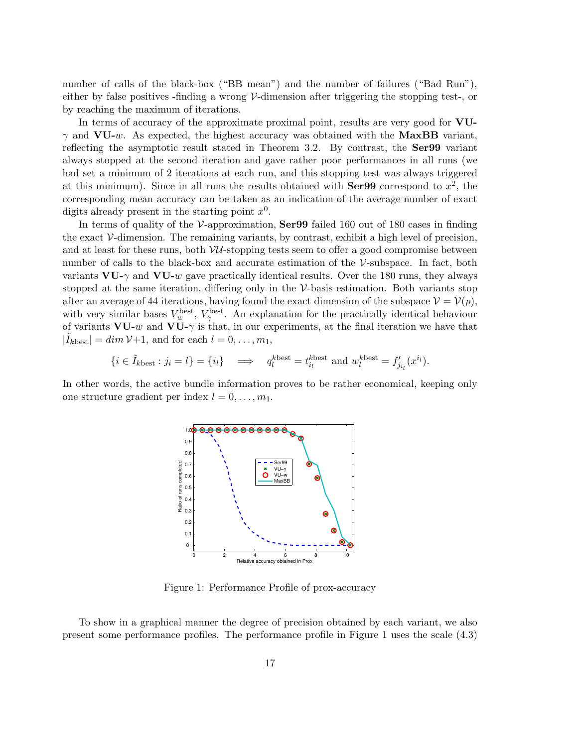number of calls of the black-box ("BB mean") and the number of failures ("Bad Run"), either by false positives -finding a wrong V-dimension after triggering the stopping test-, or by reaching the maximum of iterations.

In terms of accuracy of the approximate proximal point, results are very good for VU- $\gamma$  and VU-w. As expected, the highest accuracy was obtained with the MaxBB variant, reflecting the asymptotic result stated in Theorem 3.2. By contrast, the Ser99 variant always stopped at the second iteration and gave rather poor performances in all runs (we had set a minimum of 2 iterations at each run, and this stopping test was always triggered at this minimum). Since in all runs the results obtained with  $Ser99$  correspond to  $x^2$ , the corresponding mean accuracy can be taken as an indication of the average number of exact digits already present in the starting point  $x^0$ .

In terms of quality of the  $V$ -approximation,  $Ser99$  failed 160 out of 180 cases in finding the exact V-dimension. The remaining variants, by contrast, exhibit a high level of precision, and at least for these runs, both  $\mathcal{VU}$ -stopping tests seem to offer a good compromise between number of calls to the black-box and accurate estimation of the  $\mathcal V$ -subspace. In fact, both variants  $VU-\gamma$  and  $VU-w$  gave practically identical results. Over the 180 runs, they always stopped at the same iteration, differing only in the V-basis estimation. Both variants stop after an average of 44 iterations, having found the exact dimension of the subspace  $\mathcal{V} = \mathcal{V}(p)$ , with very similar bases  $V_w^{\text{best}}$ ,  $V_\gamma^{\text{best}}$ . An explanation for the practically identical behaviour of variants  $VU-w$  and  $VU-\gamma$  is that, in our experiments, at the final iteration we have that  $|\tilde{I}_{k\text{best}}| = \dim \mathcal{V}+1$ , and for each  $l = 0, \ldots, m_1$ ,

$$
\{i \in \tilde{I}_{k\text{best}}: j_i = l\} = \{i_l\} \quad \Longrightarrow \quad q_l^{k\text{best}} = t_{i_l}^{k\text{best}} \text{ and } w_l^{k\text{best}} = f'_{j_{i_l}}(x^{i_l}).
$$

In other words, the active bundle information proves to be rather economical, keeping only one structure gradient per index  $l = 0, \ldots, m_1$ .



Figure 1: Performance Profile of prox-accuracy

To show in a graphical manner the degree of precision obtained by each variant, we also present some performance profiles. The performance profile in Figure 1 uses the scale (4.3)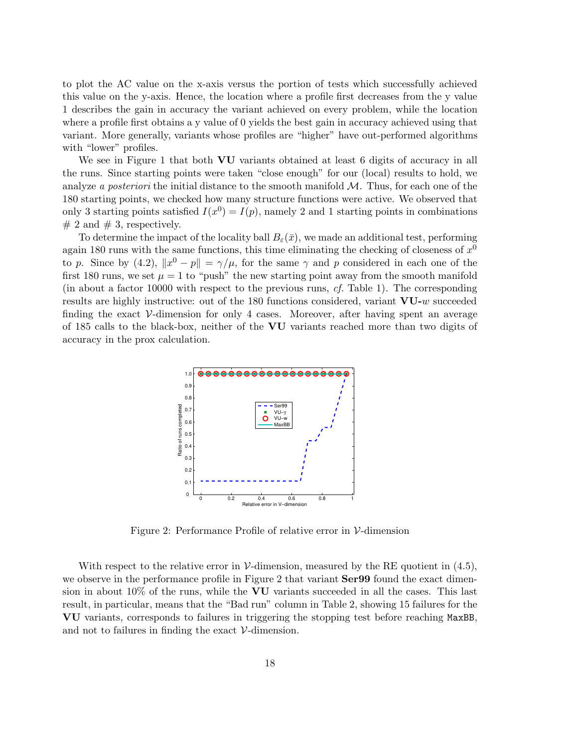to plot the AC value on the x-axis versus the portion of tests which successfully achieved this value on the y-axis. Hence, the location where a profile first decreases from the y value 1 describes the gain in accuracy the variant achieved on every problem, while the location where a profile first obtains a y value of 0 yields the best gain in accuracy achieved using that variant. More generally, variants whose profiles are "higher" have out-performed algorithms with "lower" profiles.

We see in Figure 1 that both **VU** variants obtained at least 6 digits of accuracy in all the runs. Since starting points were taken "close enough" for our (local) results to hold, we analyze a posteriori the initial distance to the smooth manifold  $M$ . Thus, for each one of the 180 starting points, we checked how many structure functions were active. We observed that only 3 starting points satisfied  $I(x^0) = I(p)$ , namely 2 and 1 starting points in combinations  $# 2$  and  $# 3$ , respectively.

To determine the impact of the locality ball  $B_{\varepsilon}(\bar{x})$ , we made an additional test, performing again 180 runs with the same functions, this time eliminating the checking of closeness of  $x^0$ to p. Since by (4.2),  $||x^0 - p|| = \gamma/\mu$ , for the same  $\gamma$  and p considered in each one of the first 180 runs, we set  $\mu = 1$  to "push" the new starting point away from the smooth manifold (in about a factor 10000 with respect to the previous runs, cf. Table 1). The corresponding results are highly instructive: out of the 180 functions considered, variant VU-w succeeded finding the exact V-dimension for only 4 cases. Moreover, after having spent an average of 185 calls to the black-box, neither of the VU variants reached more than two digits of accuracy in the prox calculation.



Figure 2: Performance Profile of relative error in V-dimension

With respect to the relative error in V-dimension, measured by the RE quotient in  $(4.5)$ , we observe in the performance profile in Figure 2 that variant  $Ser99$  found the exact dimension in about 10% of the runs, while the VU variants succeeded in all the cases. This last result, in particular, means that the "Bad run" column in Table 2, showing 15 failures for the VU variants, corresponds to failures in triggering the stopping test before reaching MaxBB, and not to failures in finding the exact  $\mathcal V$ -dimension.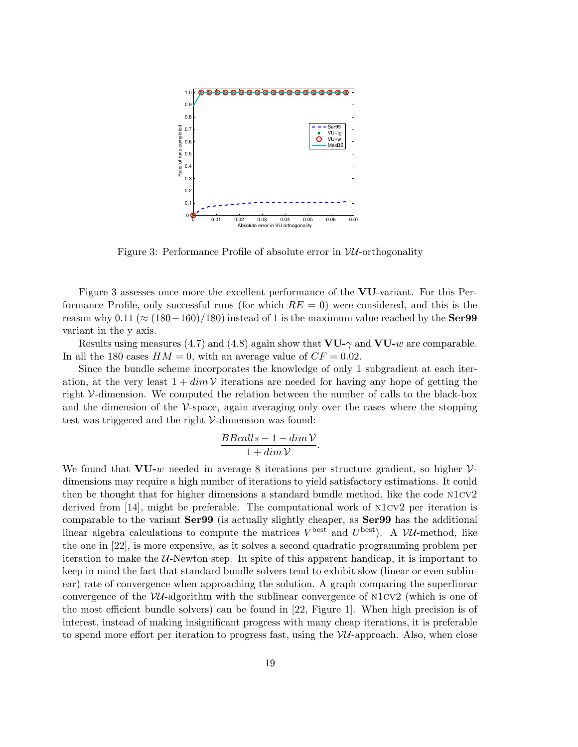

Figure 3: Performance Profile of absolute error in  $VU$ -orthogonality

Figure 3 assesses once more the excellent performance of the VU-variant. For this Performance Profile, only successful runs (for which  $RE = 0$ ) were considered, and this is the reason why 0.11 ( $\approx (180-160)/180$ ) instead of 1 is the maximum value reached by the **Ser99** variant in the y axis.

Results using measures (4.7) and (4.8) again show that  $VU_{-\gamma}$  and  $VU_{-w}$  are comparable. In all the 180 cases  $HM = 0$ , with an average value of  $CF = 0.02$ .

Since the bundle scheme incorporates the knowledge of only 1 subgradient at each iteration, at the very least  $1 + dim \mathcal{V}$  iterations are needed for having any hope of getting the right V-dimension. We computed the relation between the number of calls to the black-box and the dimension of the  $\mathcal V$ -space, again averaging only over the cases where the stopping test was triggered and the right V-dimension was found:

$$
\frac{BB calls - 1 - dim\mathcal{V}}{1 + dim\mathcal{V}}.
$$

We found that  $VU-w$  needed in average 8 iterations per structure gradient, so higher  $V$ dimensions may require a high number of iterations to yield satisfactory estimations. It could then be thought that for higher dimensions a standard bundle method, like the code n1cv2 derived from [14], might be preferable. The computational work of n1cv2 per iteration is comparable to the variant Ser99 (is actually slightly cheaper, as Ser99 has the additional linear algebra calculations to compute the matrices  $V^{\text{best}}$  and  $U^{\text{best}}$ ). A  $\mathcal{VU}$ -method, like the one in [22], is more expensive, as it solves a second quadratic programming problem per iteration to make the  $U$ -Newton step. In spite of this apparent handicap, it is important to keep in mind the fact that standard bundle solvers tend to exhibit slow (linear or even sublinear) rate of convergence when approaching the solution. A graph comparing the superlinear convergence of the  $VU$ -algorithm with the sublinear convergence of  $N1CV2$  (which is one of the most efficient bundle solvers) can be found in [22, Figure 1]. When high precision is of interest, instead of making insignificant progress with many cheap iterations, it is preferable to spend more effort per iteration to progress fast, using the  $VU$ -approach. Also, when close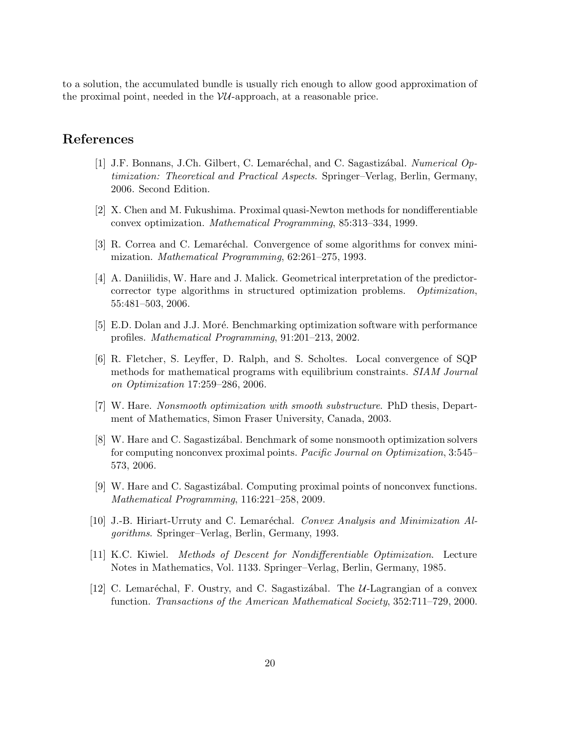to a solution, the accumulated bundle is usually rich enough to allow good approximation of the proximal point, needed in the  $VU$ -approach, at a reasonable price.

# References

- [1] J.F. Bonnans, J.Ch. Gilbert, C. Lemaréchal, and C. Sagastizábal. Numerical Optimization: Theoretical and Practical Aspects. Springer–Verlag, Berlin, Germany, 2006. Second Edition.
- [2] X. Chen and M. Fukushima. Proximal quasi-Newton methods for nondifferentiable convex optimization. Mathematical Programming, 85:313–334, 1999.
- [3] R. Correa and C. Lemaréchal. Convergence of some algorithms for convex minimization. Mathematical Programming, 62:261–275, 1993.
- [4] A. Daniilidis, W. Hare and J. Malick. Geometrical interpretation of the predictorcorrector type algorithms in structured optimization problems. Optimization, 55:481–503, 2006.
- [5] E.D. Dolan and J.J. Moré. Benchmarking optimization software with performance profiles. Mathematical Programming, 91:201–213, 2002.
- [6] R. Fletcher, S. Leyffer, D. Ralph, and S. Scholtes. Local convergence of SQP methods for mathematical programs with equilibrium constraints. SIAM Journal on Optimization 17:259–286, 2006.
- [7] W. Hare. Nonsmooth optimization with smooth substructure. PhD thesis, Department of Mathematics, Simon Fraser University, Canada, 2003.
- [8] W. Hare and C. Sagastizabal. Benchmark of some nonsmooth optimization solvers for computing nonconvex proximal points. Pacific Journal on Optimization, 3:545– 573, 2006.
- [9] W. Hare and C. Sagastiz´abal. Computing proximal points of nonconvex functions. Mathematical Programming, 116:221–258, 2009.
- [10] J.-B. Hiriart-Urruty and C. Lemaréchal. *Convex Analysis and Minimization Al*gorithms. Springer–Verlag, Berlin, Germany, 1993.
- [11] K.C. Kiwiel. Methods of Descent for Nondifferentiable Optimization. Lecture Notes in Mathematics, Vol. 1133. Springer–Verlag, Berlin, Germany, 1985.
- [12] C. Lemaréchal, F. Oustry, and C. Sagastizábal. The  $U$ -Lagrangian of a convex function. Transactions of the American Mathematical Society, 352:711–729, 2000.